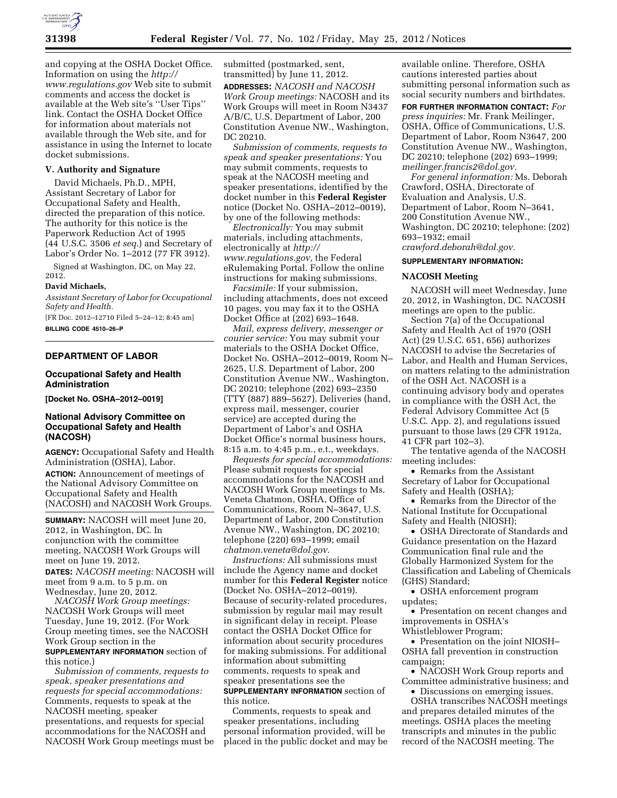

and copying at the OSHA Docket Office. Information on using the *[http://](http://www.regulations.gov) [www.regulations.gov](http://www.regulations.gov)* Web site to submit comments and access the docket is available at the Web site's ''User Tips'' link. Contact the OSHA Docket Office for information about materials not available through the Web site, and for assistance in using the Internet to locate docket submissions.

## **V. Authority and Signature**

David Michaels, Ph.D., MPH, Assistant Secretary of Labor for Occupational Safety and Health, directed the preparation of this notice. The authority for this notice is the Paperwork Reduction Act of 1995 (44 U.S.C. 3506 *et seq.*) and Secretary of Labor's Order No. 1–2012 (77 FR 3912).

Signed at Washington, DC, on May 22, 2012.

### **David Michaels,**

*Assistant Secretary of Labor for Occupational Safety and Health.* 

[FR Doc. 2012–12710 Filed 5–24–12; 8:45 am] **BILLING CODE 4510–26–P** 

## **DEPARTMENT OF LABOR**

### **Occupational Safety and Health Administration**

**[Docket No. OSHA–2012–0019]** 

## **National Advisory Committee on Occupational Safety and Health (NACOSH)**

**AGENCY:** Occupational Safety and Health Administration (OSHA), Labor. **ACTION:** Announcement of meetings of the National Advisory Committee on Occupational Safety and Health (NACOSH) and NACOSH Work Groups.

**SUMMARY:** NACOSH will meet June 20, 2012, in Washington, DC. In conjunction with the committee meeting, NACOSH Work Groups will meet on June 19, 2012.

**DATES:** *NACOSH meeting:* NACOSH will meet from 9 a.m. to 5 p.m. on Wednesday, June 20, 2012.

*NACOSH Work Group meetings:*  NACOSH Work Groups will meet Tuesday, June 19, 2012. (For Work Group meeting times, see the NACOSH Work Group section in the **SUPPLEMENTARY INFORMATION** section of this notice.)

*Submission of comments, requests to speak, speaker presentations and requests for special accommodations:*  Comments, requests to speak at the NACOSH meeting, speaker presentations, and requests for special accommodations for the NACOSH and NACOSH Work Group meetings must be

submitted (postmarked, sent, transmitted) by June 11, 2012. **ADDRESSES:** *NACOSH and NACOSH Work Group meetings:* NACOSH and its Work Groups will meet in Room N3437 A/B/C, U.S. Department of Labor, 200 Constitution Avenue NW., Washington, DC 20210.

*Submission of comments, requests to speak and speaker presentations:* You may submit comments, requests to speak at the NACOSH meeting and speaker presentations, identified by the docket number in this **Federal Register**  notice (Docket No. OSHA–2012–0019), by one of the following methods:

*Electronically:* You may submit materials, including attachments, electronically at *[http://](http://www.regulations.gov) [www.regulations.gov,](http://www.regulations.gov)* the Federal eRulemaking Portal. Follow the online instructions for making submissions.

*Facsimile:* If your submission, including attachments, does not exceed 10 pages, you may fax it to the OSHA Docket Office at (202) 693–1648.

*Mail, express delivery, messenger or courier service:* You may submit your materials to the OSHA Docket Office, Docket No. OSHA–2012–0019, Room N– 2625, U.S. Department of Labor, 200 Constitution Avenue NW., Washington, DC 20210; telephone (202) 693–2350 (TTY (887) 889–5627). Deliveries (hand, express mail, messenger, courier service) are accepted during the Department of Labor's and OSHA Docket Office's normal business hours, 8:15 a.m. to 4:45 p.m., e.t., weekdays.

*Requests for special accommodations:*  Please submit requests for special accommodations for the NACOSH and NACOSH Work Group meetings to Ms. Veneta Chatmon, OSHA, Office of Communications, Room N–3647, U.S. Department of Labor, 200 Constitution Avenue NW., Washington, DC 20210; telephone (220) 693–1999; email *[chatmon.veneta@dol.gov.](mailto:chatmon.veneta@dol.gov)* 

*Instructions:* All submissions must include the Agency name and docket number for this **Federal Register** notice (Docket No. OSHA–2012–0019). Because of security-related procedures, submission by regular mail may result in significant delay in receipt. Please contact the OSHA Docket Office for information about security procedures for making submissions. For additional information about submitting comments, requests to speak and speaker presentations see the **SUPPLEMENTARY INFORMATION** section of

this notice.

Comments, requests to speak and speaker presentations, including personal information provided, will be placed in the public docket and may be

available online. Therefore, OSHA cautions interested parties about submitting personal information such as social security numbers and birthdates.

**FOR FURTHER INFORMATION CONTACT:** *For press inquiries:* Mr. Frank Meilinger, OSHA, Office of Communications, U.S. Department of Labor, Room N3647, 200 Constitution Avenue NW., Washington, DC 20210; telephone (202) 693–1999; *[meilinger.francis2@dol.gov.](mailto:meilinger.francis2@dol.gov)* 

*For general information:* Ms. Deborah Crawford, OSHA, Directorate of Evaluation and Analysis, U.S. Department of Labor, Room N–3641, 200 Constitution Avenue NW., Washington, DC 20210; telephone: (202) 693–1932; email *[crawford.deborah@dol.gov.](mailto:crawford.deborah@dol.gov)* 

### **SUPPLEMENTARY INFORMATION:**

#### **NACOSH Meeting**

NACOSH will meet Wednesday, June 20, 2012, in Washington, DC. NACOSH meetings are open to the public.

Section 7(a) of the Occupational Safety and Health Act of 1970 (OSH Act) (29 U.S.C. 651, 656) authorizes NACOSH to advise the Secretaries of Labor, and Health and Human Services, on matters relating to the administration of the OSH Act. NACOSH is a continuing advisory body and operates in compliance with the OSH Act, the Federal Advisory Committee Act (5 U.S.C. App. 2), and regulations issued pursuant to those laws (29 CFR 1912a, 41 CFR part 102–3).

The tentative agenda of the NACOSH meeting includes:

• Remarks from the Assistant Secretary of Labor for Occupational Safety and Health (OSHA);

• Remarks from the Director of the National Institute for Occupational Safety and Health (NIOSH);

• OSHA Directorate of Standards and Guidance presentation on the Hazard Communication final rule and the Globally Harmonized System for the Classification and Labeling of Chemicals (GHS) Standard;

• OSHA enforcement program updates;

• Presentation on recent changes and improvements in OSHA's

Whistleblower Program;

• Presentation on the joint NIOSH– OSHA fall prevention in construction campaign;

• NACOSH Work Group reports and Committee administrative business; and • Discussions on emerging issues.

OSHA transcribes NACOSH meetings and prepares detailed minutes of the meetings. OSHA places the meeting transcripts and minutes in the public record of the NACOSH meeting. The